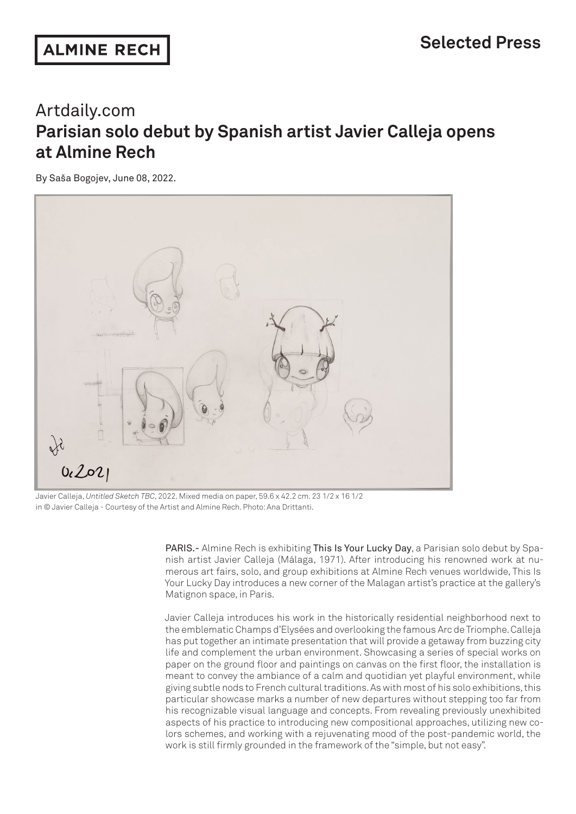## Artdaily.com **Parisian solo debut by Spanish artist Javier Calleja opens at Almine Rech**

By Saša Bogojev, June 08, 2022.



Javier Calleja, *Untitled Sketch TBC*, 2022. Mixed media on paper, 59.6 x 42.2 cm. 23 1/2 x 16 1/2 in © Javier Calleja - Courtesy of the Artist and Almine Rech. Photo: Ana Drittanti.

PARIS.- Almine Rech is exhibiting This Is Your Lucky Day, a Parisian solo debut by Spanish artist Javier Calleja (Málaga, 1971). After introducing his renowned work at numerous art fairs, solo, and group exhibitions at Almine Rech venues worldwide, This Is Your Lucky Day introduces a new corner of the Malagan artist's practice at the gallery's Matignon space, in Paris.

Javier Calleja introduces his work in the historically residential neighborhood next to the emblematic Champs d'Elysées and overlooking the famous Arc de Triomphe. Calleja has put together an intimate presentation that will provide a getaway from buzzing city life and complement the urban environment. Showcasing a series of special works on paper on the ground floor and paintings on canvas on the first floor, the installation is meant to convey the ambiance of a calm and quotidian yet playful environment, while giving subtle nods to French cultural traditions. As with most of his solo exhibitions, this particular showcase marks a number of new departures without stepping too far from his recognizable visual language and concepts. From revealing previously unexhibited aspects of his practice to introducing new compositional approaches, utilizing new colors schemes, and working with a rejuvenating mood of the post-pandemic world, the work is still firmly grounded in the framework of the "simple, but not easy".